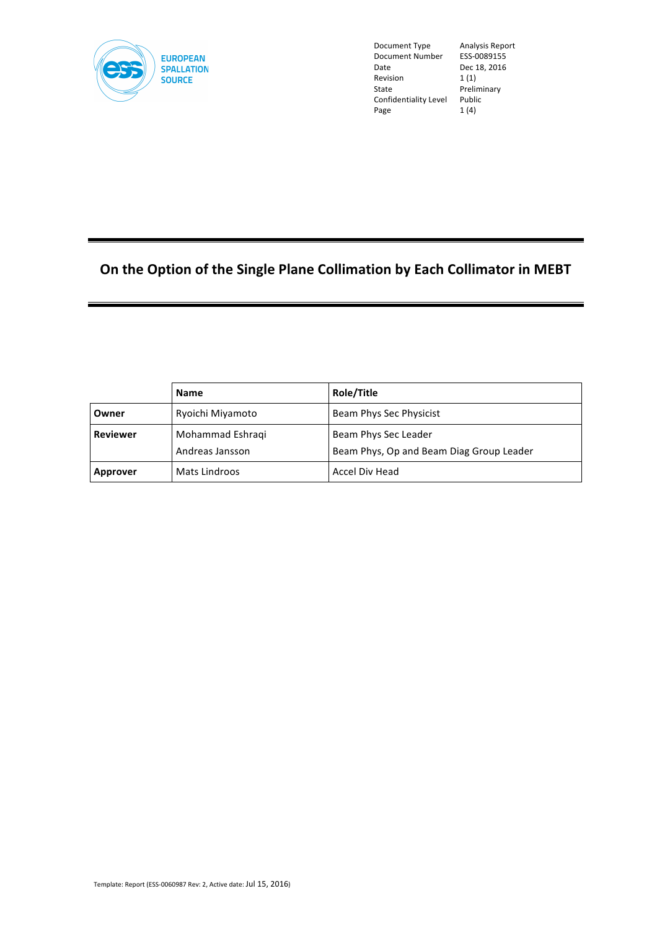

Document Type Analysis Report<br>Document Number ESS-0089155 Document Number Date Dec 18, 2016<br>
Revision 1 (1) **Revision** State Preliminary<br>Confidentiality Level Public Confidentiality Level Page 1 (4)

# **On the Option of the Single Plane Collimation by Each Collimator in MEBT**

|                 | Name             | Role/Title                               |  |
|-----------------|------------------|------------------------------------------|--|
| Owner           | Ryoichi Miyamoto | Beam Phys Sec Physicist                  |  |
| <b>Reviewer</b> | Mohammad Eshraqi | Beam Phys Sec Leader                     |  |
|                 | Andreas Jansson  | Beam Phys, Op and Beam Diag Group Leader |  |
| Approver        | Mats Lindroos    | Accel Div Head                           |  |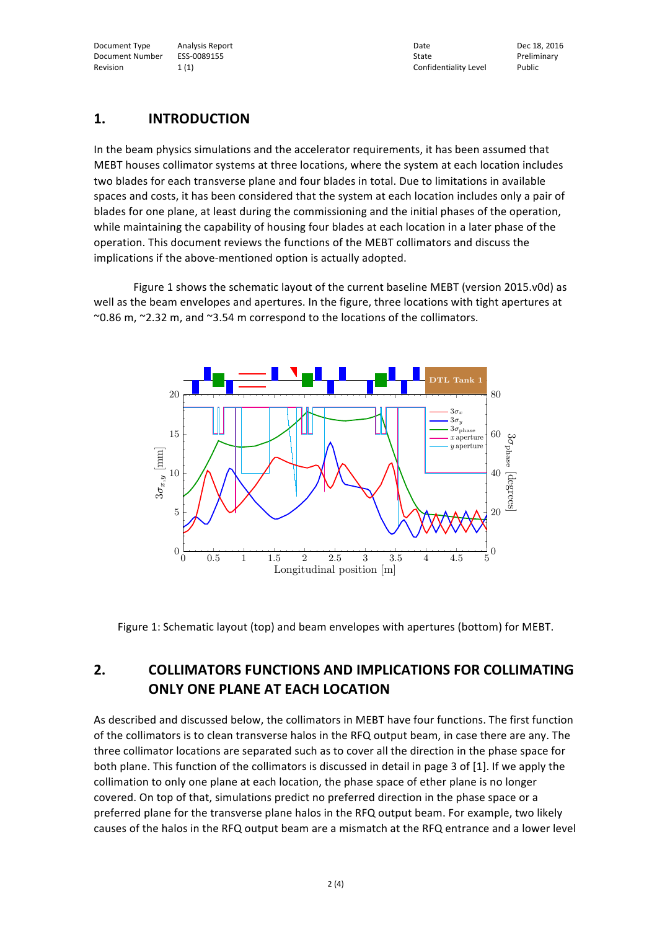Document Type Analysis Report Analysis Report Analysis Report Dec 18, 2016 Document Number ESS-0089155 State State Preliminary Preliminary Revision 1 (1) 1 (1) 2 and 2 and 2 and 2 and 2 and 2 and 2 and 2 and 2 and 2 and 2 and 2 and 2 and 2 and 2 and 2 and 2 and 2 and 2 and 2 and 2 and 2 and 2 and 2 and 2 and 2 and 2 and 2 and 2 and 2 and 2 and 2 and 2 and 2 a

### **1. INTRODUCTION**

In the beam physics simulations and the accelerator requirements, it has been assumed that MEBT houses collimator systems at three locations, where the system at each location includes two blades for each transverse plane and four blades in total. Due to limitations in available spaces and costs, it has been considered that the system at each location includes only a pair of blades for one plane, at least during the commissioning and the initial phases of the operation, while maintaining the capability of housing four blades at each location in a later phase of the operation. This document reviews the functions of the MEBT collimators and discuss the implications if the above-mentioned option is actually adopted.

Figure 1 shows the schematic layout of the current baseline MEBT (version 2015.v0d) as well as the beam envelopes and apertures. In the figure, three locations with tight apertures at ~0.86 m, ~2.32 m, and ~3.54 m correspond to the locations of the collimators.



Figure 1: Schematic layout (top) and beam envelopes with apertures (bottom) for MEBT.

### **2. COLLIMATORS FUNCTIONS AND IMPLICATIONS FOR COLLIMATING ONLY ONE PLANE AT EACH LOCATION**

As described and discussed below, the collimators in MEBT have four functions. The first function of the collimators is to clean transverse halos in the RFQ output beam, in case there are any. The three collimator locations are separated such as to cover all the direction in the phase space for both plane. This function of the collimators is discussed in detail in page 3 of [1]. If we apply the collimation to only one plane at each location, the phase space of ether plane is no longer covered. On top of that, simulations predict no preferred direction in the phase space or a preferred plane for the transverse plane halos in the RFQ output beam. For example, two likely causes of the halos in the RFQ output beam are a mismatch at the RFQ entrance and a lower level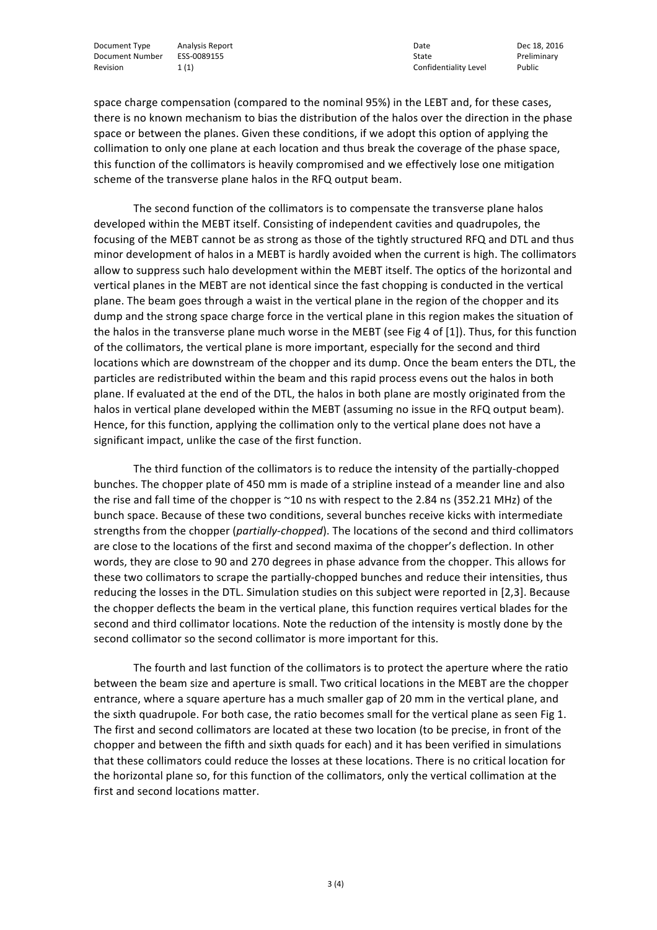Document Type Analysis Report Analysis Report Analysis Report Dec 18, 2016 Document Number ESS-0089155 State State State State Preliminary Revision 1 (1) 1 (1) The Confidentiality Level Public Public Revision 2 (1) Revision 2 (1) 2 (1) Revision 2 (1

space charge compensation (compared to the nominal 95%) in the LEBT and, for these cases, there is no known mechanism to bias the distribution of the halos over the direction in the phase space or between the planes. Given these conditions, if we adopt this option of applying the collimation to only one plane at each location and thus break the coverage of the phase space, this function of the collimators is heavily compromised and we effectively lose one mitigation scheme of the transverse plane halos in the RFQ output beam.

The second function of the collimators is to compensate the transverse plane halos developed within the MEBT itself. Consisting of independent cavities and quadrupoles, the focusing of the MEBT cannot be as strong as those of the tightly structured RFQ and DTL and thus minor development of halos in a MEBT is hardly avoided when the current is high. The collimators allow to suppress such halo development within the MEBT itself. The optics of the horizontal and vertical planes in the MEBT are not identical since the fast chopping is conducted in the vertical plane. The beam goes through a waist in the vertical plane in the region of the chopper and its dump and the strong space charge force in the vertical plane in this region makes the situation of the halos in the transverse plane much worse in the MEBT (see Fig 4 of [1]). Thus, for this function of the collimators, the vertical plane is more important, especially for the second and third locations which are downstream of the chopper and its dump. Once the beam enters the DTL, the particles are redistributed within the beam and this rapid process evens out the halos in both plane. If evaluated at the end of the DTL, the halos in both plane are mostly originated from the halos in vertical plane developed within the MEBT (assuming no issue in the RFQ output beam). Hence, for this function, applying the collimation only to the vertical plane does not have a significant impact, unlike the case of the first function.

The third function of the collimators is to reduce the intensity of the partially-chopped bunches. The chopper plate of 450 mm is made of a stripline instead of a meander line and also the rise and fall time of the chopper is  $\sim$ 10 ns with respect to the 2.84 ns (352.21 MHz) of the bunch space. Because of these two conditions, several bunches receive kicks with intermediate strengths from the chopper (*partially-chopped*). The locations of the second and third collimators are close to the locations of the first and second maxima of the chopper's deflection. In other words, they are close to 90 and 270 degrees in phase advance from the chopper. This allows for these two collimators to scrape the partially-chopped bunches and reduce their intensities, thus reducing the losses in the DTL. Simulation studies on this subject were reported in [2,3]. Because the chopper deflects the beam in the vertical plane, this function requires vertical blades for the second and third collimator locations. Note the reduction of the intensity is mostly done by the second collimator so the second collimator is more important for this.

The fourth and last function of the collimators is to protect the aperture where the ratio between the beam size and aperture is small. Two critical locations in the MEBT are the chopper entrance, where a square aperture has a much smaller gap of 20 mm in the vertical plane, and the sixth quadrupole. For both case, the ratio becomes small for the vertical plane as seen Fig 1. The first and second collimators are located at these two location (to be precise, in front of the chopper and between the fifth and sixth quads for each) and it has been verified in simulations that these collimators could reduce the losses at these locations. There is no critical location for the horizontal plane so, for this function of the collimators, only the vertical collimation at the first and second locations matter.